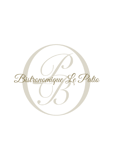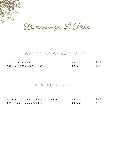

Bistronomique Le Patio

#### C O U P E D E C H A M P A G N E

| AOP CHAMPAGNE      | 12 CL | $18 \in$ |
|--------------------|-------|----------|
| AOP CHAMPAGNE ROSÉ | 12 CL | $20 \in$ |

#### V I N A U V E R R E

A O P V I N S B L A N C / R O U G E / R O S É A O P V I N S L I Q U O R E U X 12 C L  $12 \in$ 12 C L  $12 \in$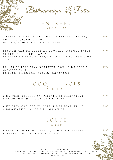Bistronomique Le Patio

E N T R É E S S T A R T E R S

TOURTE DE VIANDE, BOUQUET DE SALADE NIÇOISE, CONFIT D'OIGNONS ROUGES MEAT PIE, NICOISE SALAD, RED ONION CONFIT 1 6 €

SAU MON MARINÉ COUPÉ AU COUTEAU, MANGUE AVION, SORBET PETITS POIS WASABI KNIFE-CUT MARINATED SALMON, AIR-FREIGHT MANGO, WASABI PEAS *S O R B E T* 1 8 €

BILLES DE FOIE GRAS NOISETTE, COULIS DE CASSIS, C A R O T T E F A N E FOIE GRAS, BLACKCURRANT COULIS, CARROT TOPS 1 9 €

# C O Q U I L L A G E S S E L L F I S H

|  |  |  |                                          | 6 HUÎTRES CREUSES N°1 PLEINE MER BLAINVILLE | $16 \in$  |
|--|--|--|------------------------------------------|---------------------------------------------|-----------|
|  |  |  | 6 HOLLOW OYSTERS N.1 DEEP-SEA BLAINVILLE |                                             |           |
|  |  |  |                                          |                                             |           |
|  |  |  |                                          |                                             |           |
|  |  |  |                                          | 9 HUÎTRES CREUSES N°1 PLEINE MER BLAINVILLE | $2.3 \in$ |

9 HOLLOW OYSTERS N.1 DEEP-SEA BLAINVILLE

# S O U P E S O U P

1 5 €

SOUPE DE POISSONS MAISON, ROUILLE SAFRANÉE HOMEMADE FISH SOUP, SAFFRON ROUILLE

> V I A N D E O R I G I N E F R A N Ç A I S E N O S PLATS SONT SUSCEPTIBLES DE CONTENIR DES PRODUITS ALLERGIQUES N ' HÉSITEZ PAS À INFORMER NOTRE ÉQUIPE DE VOS RESTRICTIONS A L I M E N T A I R E S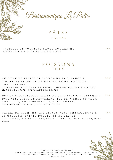

P Â T E S P A S T A S

2 6 €

 $2.5 \in$ 

RAVIOLES DE TOURTEAU SAUCE HOMARDINE BROWN CRAB RAVIOLI WITH LOBSTER SAUCE

## P O I S S O N S F I S H S

SUPRÊME DE TRUITE DE PARNÉ-SUR-ROC, SAUCE À L'ORANGE; BRUNOISE DE MANGUE AVION, CHIPS DE T O P I N A M B O U R

SUPREME OF TROUT OF PARNÉ-SUR-ROC, ORANGE SAUCE; AIR-FREIGHT MANGO BRUNOISE, TOPPINANBOUR CRISPS

D O S D E C A B I L L A U D , D U X E L L E S D E C H A M P I G N O N S , T A P E N A D E D'OLIVES, CHIPS DE BETTERAVE, JUS DE VIANDE AU THYM BACK OF COD, MUSHROOM DUXELLES, OLIVE TAPENADE, BEETROOT CRISPS, MEAT JUICE WITH THYME 2 9 €

TATAKI DE THON, MARINÉ CITRON VERT, CHAMPIGNONS À LA GRECQUE, PATATE DOUCE, JUS DE VIANDE TUNA TATAKI, MARINATED LIME, GREEK MUSHROOM, SWEET POTATO, MEAT *J U I C E* 2 9 €

> V I A N D E S O R I G I N E F R A N Ç A I S E N O S PLATS SONT SUSCEPTIBLES DE CONTENIR DES PRODUITS ALLERGIQUES, N' HÉSITEZ PAS À INFORMER NOTRE ÉQUIPE DE VOS RESTRICTIONS A L I M E N T A I R E S